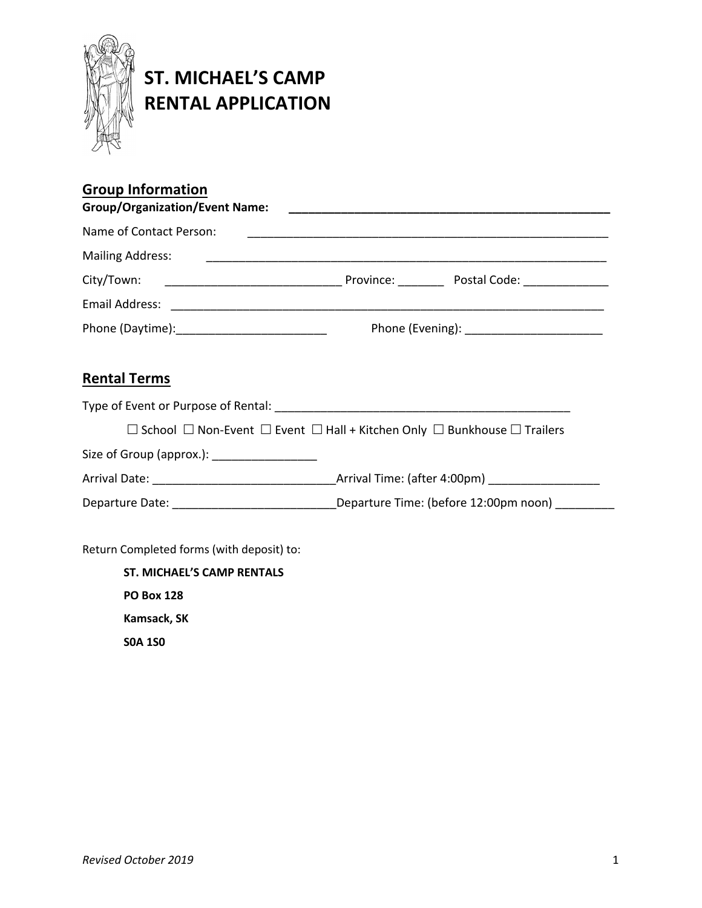

## **ST. MICHAEL'S CAMP RENTAL APPLICATION**

| <b>Group Information</b><br><b>Group/Organization/Event Name:</b>                                |  |  |
|--------------------------------------------------------------------------------------------------|--|--|
| Name of Contact Person:                                                                          |  |  |
| <b>Mailing Address:</b>                                                                          |  |  |
|                                                                                                  |  |  |
|                                                                                                  |  |  |
|                                                                                                  |  |  |
| <b>Rental Terms</b>                                                                              |  |  |
|                                                                                                  |  |  |
| School $\Box$ Non-Event $\Box$ Event $\Box$ Hall + Kitchen Only $\Box$ Bunkhouse $\Box$ Trailers |  |  |

Size of Group (approx.): \_\_\_\_\_\_\_\_\_\_\_\_\_\_\_\_

Arrival Date: \_\_\_\_\_\_\_\_\_\_\_\_\_\_\_\_\_\_\_\_\_\_\_\_\_\_\_\_Arrival Time: (after 4:00pm) \_\_\_\_\_\_\_\_\_\_\_\_\_\_\_\_\_

Departure Date: \_\_\_\_\_\_\_\_\_\_\_\_\_\_\_\_\_\_\_\_\_\_\_\_\_\_\_\_\_\_\_\_\_\_\_Departure Time: (before 12:00pm noon) \_\_\_\_\_\_\_\_\_\_

Return Completed forms (with deposit) to:

**ST. MICHAEL'S CAMP RENTALS PO Box 128 Kamsack, SK S0A 1S0**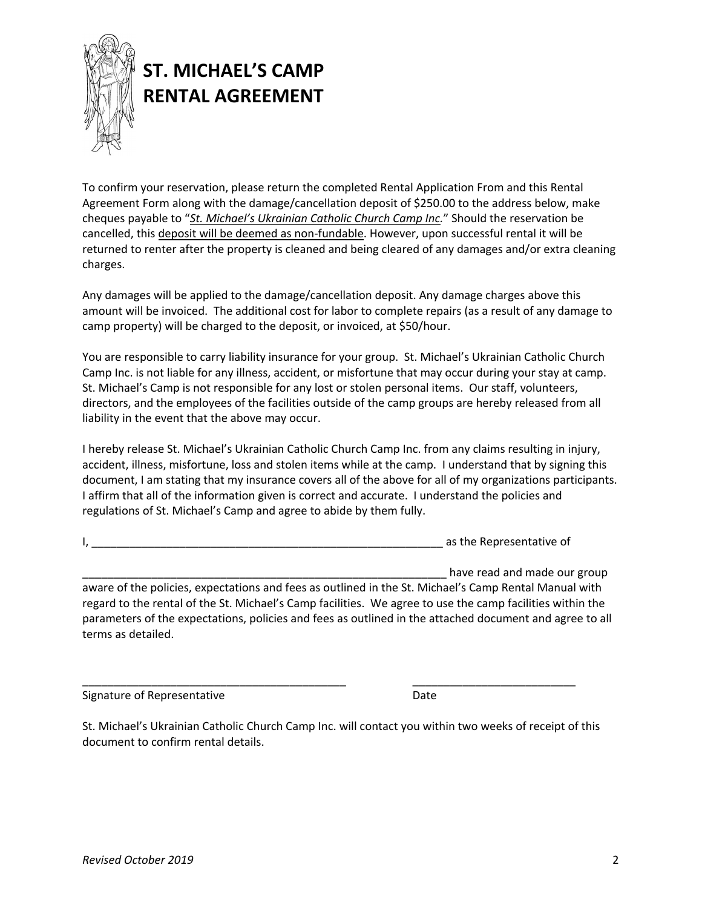

## **ST. MICHAEL'S CAMP RENTAL AGREEMENT**

To confirm your reservation, please return the completed Rental Application From and this Rental Agreement Form along with the damage/cancellation deposit of \$250.00 to the address below, make cheques payable to "*St. Michael's Ukrainian Catholic Church Camp Inc.*" Should the reservation be cancelled, this deposit will be deemed as non-fundable. However, upon successful rental it will be returned to renter after the property is cleaned and being cleared of any damages and/or extra cleaning charges.

Any damages will be applied to the damage/cancellation deposit. Any damage charges above this amount will be invoiced. The additional cost for labor to complete repairs (as a result of any damage to camp property) will be charged to the deposit, or invoiced, at \$50/hour.

You are responsible to carry liability insurance for your group. St. Michael's Ukrainian Catholic Church Camp Inc. is not liable for any illness, accident, or misfortune that may occur during your stay at camp. St. Michael's Camp is not responsible for any lost or stolen personal items. Our staff, volunteers, directors, and the employees of the facilities outside of the camp groups are hereby released from all liability in the event that the above may occur.

I hereby release St. Michael's Ukrainian Catholic Church Camp Inc. from any claims resulting in injury, accident, illness, misfortune, loss and stolen items while at the camp. I understand that by signing this document, I am stating that my insurance covers all of the above for all of my organizations participants. I affirm that all of the information given is correct and accurate. I understand the policies and regulations of St. Michael's Camp and agree to abide by them fully.

I, \_\_\_\_\_\_\_\_\_\_\_\_\_\_\_\_\_\_\_\_\_\_\_\_\_\_\_\_\_\_\_\_\_\_\_\_\_\_\_\_\_\_\_\_\_\_\_\_\_\_\_\_\_\_\_\_ as the Representative of

have read and made our group aware of the policies, expectations and fees as outlined in the St. Michael's Camp Rental Manual with regard to the rental of the St. Michael's Camp facilities. We agree to use the camp facilities within the parameters of the expectations, policies and fees as outlined in the attached document and agree to all terms as detailed.

Signature of Representative **Date** Date

St. Michael's Ukrainian Catholic Church Camp Inc. will contact you within two weeks of receipt of this document to confirm rental details.

\_\_\_\_\_\_\_\_\_\_\_\_\_\_\_\_\_\_\_\_\_\_\_\_\_\_\_\_\_\_\_\_\_\_\_\_\_\_\_\_\_\_ \_\_\_\_\_\_\_\_\_\_\_\_\_\_\_\_\_\_\_\_\_\_\_\_\_\_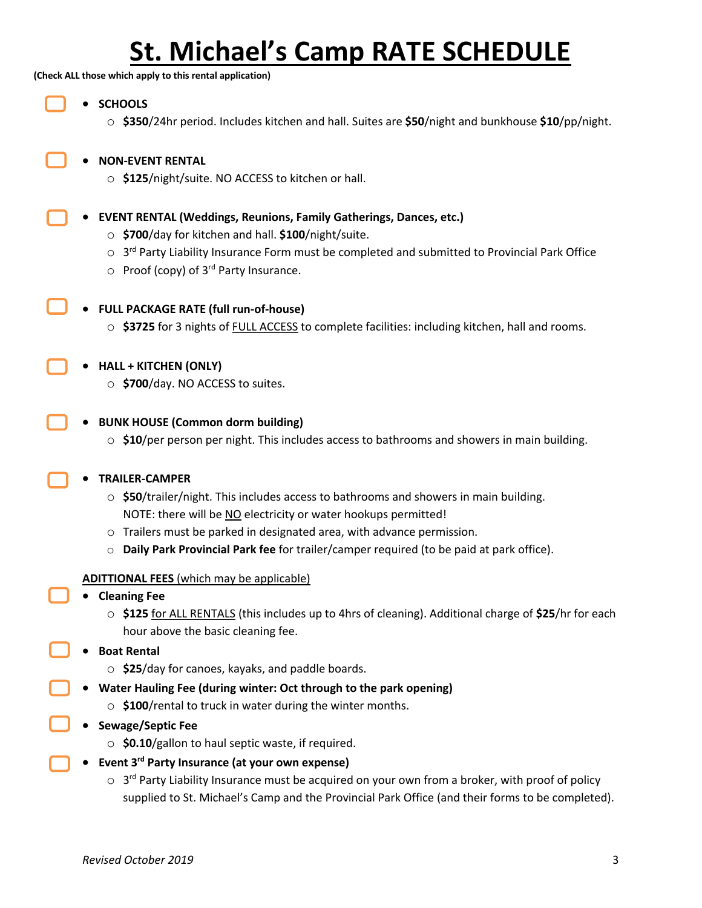# **St. Michael's Camp RATE SCHEDULE**

**(Check ALL those which apply to this rental application)**

- **SCHOOLS**
	- o **\$350**/24hr period. Includes kitchen and hall. Suites are **\$50**/night and bunkhouse **\$10**/pp/night.
	- **NON-EVENT RENTAL**
		- o **\$125**/night/suite. NO ACCESS to kitchen or hall.
	- **EVENT RENTAL (Weddings, Reunions, Family Gatherings, Dances, etc.)**
		- o **\$700**/day for kitchen and hall. **\$100**/night/suite.
		- o 3<sup>rd</sup> Party Liability Insurance Form must be completed and submitted to Provincial Park Office
		- $\circ$  Proof (copy) of 3<sup>rd</sup> Party Insurance.

#### • **FULL PACKAGE RATE (full run-of-house)**

- o **\$3725** for 3 nights of FULL ACCESS to complete facilities: including kitchen, hall and rooms.
- **HALL + KITCHEN (ONLY)**
	- o **\$700**/day. NO ACCESS to suites.
- **BUNK HOUSE (Common dorm building)**
	- o **\$10**/per person per night. This includes access to bathrooms and showers in main building.

#### • **TRAILER-CAMPER**

- o **\$50**/trailer/night. This includes access to bathrooms and showers in main building. NOTE: there will be NO electricity or water hookups permitted!
- o Trailers must be parked in designated area, with advance permission.
- o **Daily Park Provincial Park fee** for trailer/camper required (to be paid at park office).
- **ADITTIONAL FEES** (which may be applicable)
- **Cleaning Fee**
	- o **\$125** for ALL RENTALS (this includes up to 4hrs of cleaning). Additional charge of **\$25**/hr for each hour above the basic cleaning fee.
- **Boat Rental**
	- o **\$25**/day for canoes, kayaks, and paddle boards.
- **Water Hauling Fee (during winter: Oct through to the park opening)**
	- o **\$100**/rental to truck in water during the winter months.
- **Sewage/Septic Fee**
	- o **\$0.10**/gallon to haul septic waste, if required.
- **Event 3rd Party Insurance (at your own expense)**
	- $\circ$  3<sup>rd</sup> Party Liability Insurance must be acquired on your own from a broker, with proof of policy supplied to St. Michael's Camp and the Provincial Park Office (and their forms to be completed).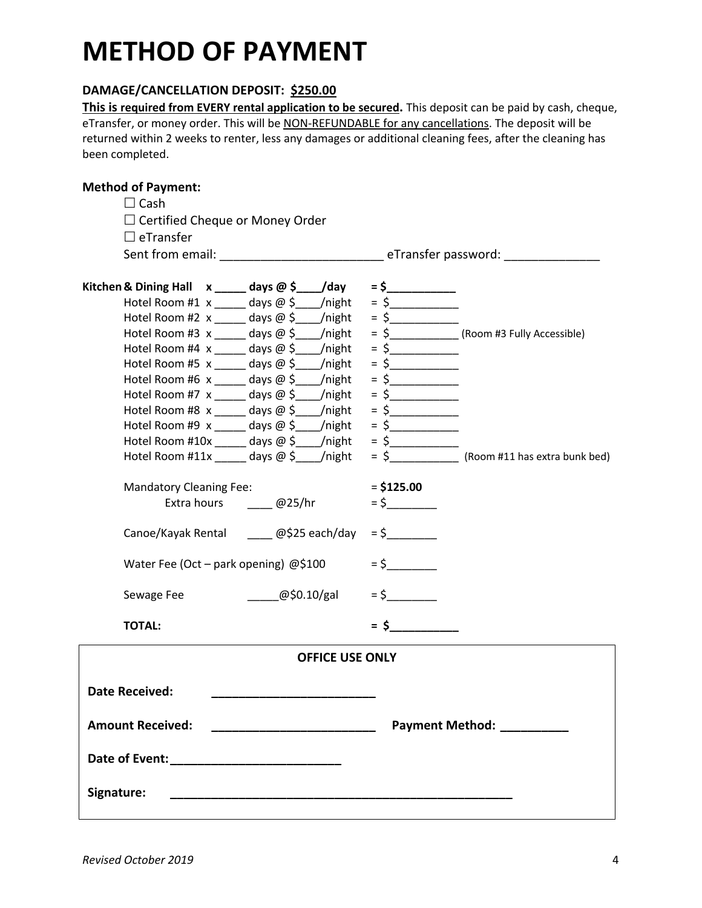# **METHOD OF PAYMENT**

### **DAMAGE/CANCELLATION DEPOSIT: \$250.00**

**This is required from EVERY rental application to be secured.** This deposit can be paid by cash, cheque, eTransfer, or money order. This will be NON-REFUNDABLE for any cancellations. The deposit will be returned within 2 weeks to renter, less any damages or additional cleaning fees, after the cleaning has been completed.

### **Method of Payment:**

|            | $\Box$ Cash                                     |                     |                        |              |                                                          |
|------------|-------------------------------------------------|---------------------|------------------------|--------------|----------------------------------------------------------|
|            |                                                 |                     |                        |              |                                                          |
|            | $\Box$ Certified Cheque or Money Order          |                     |                        |              |                                                          |
|            | $\Box$ eTransfer                                |                     |                        |              |                                                          |
|            |                                                 |                     |                        |              | Sent from email:<br>Sent from email:<br>Sent from email: |
|            | Kitchen & Dining Hall x _____ days @ \$____/day |                     |                        | $=$ \$       |                                                          |
|            | Hotel Room #1 $x$ _____ days @ \$____/night     |                     |                        | $=$ \$       |                                                          |
|            | Hotel Room #2 $x$ days $\omega$ \$ /night       |                     |                        |              |                                                          |
|            | Hotel Room #3 $x$ _____ days @ \$____/night     |                     |                        |              | = \$ (Room #3 Fully Accessible)                          |
|            | Hotel Room #4 $x$ _____ days @ \$____/night     |                     |                        | $=$ \$       |                                                          |
|            | Hotel Room #5 $x$ _____ days @ \$____/night     |                     |                        | $=$ \$       |                                                          |
|            | Hotel Room #6 $x$ _____ days @ \$____/night     |                     |                        |              |                                                          |
|            | Hotel Room #7 $x$ _____ days @ \$____/night     |                     |                        | $=$ \$       |                                                          |
|            | Hotel Room #8 $x$ _____ days @ \$____/night     |                     |                        | $=$ \$       |                                                          |
|            | Hotel Room #9 $x$ _____ days @ \$____/night     |                     |                        | $=$ \$       |                                                          |
|            | Hotel Room #10x _____ days $@$ \$___/night      |                     |                        |              |                                                          |
|            | Hotel Room #11x _____ days $@$ \$____/night     |                     |                        | $=$ \$       | (Room #11 has extra bunk bed)                            |
|            | <b>Mandatory Cleaning Fee:</b>                  |                     |                        | $=$ \$125.00 |                                                          |
|            |                                                 | Extra hours @25/hr  |                        | $=$ \$       |                                                          |
|            | Canoe/Kayak Rental @\$25 each/day               |                     |                        | $=$ \$       |                                                          |
|            | Water Fee (Oct – park opening) @\$100           |                     |                        | $=$ \$       |                                                          |
|            | Sewage Fee                                      | $\omega$ \$0.10/gal |                        | $=$ \$       |                                                          |
|            | <b>TOTAL:</b>                                   |                     |                        | $=$ \$       |                                                          |
|            |                                                 |                     | <b>OFFICE USE ONLY</b> |              |                                                          |
|            | <b>Date Received:</b>                           |                     |                        |              |                                                          |
|            |                                                 |                     |                        |              |                                                          |
|            | <b>Amount Received:</b>                         |                     |                        |              | Payment Method: __________                               |
|            |                                                 |                     |                        |              |                                                          |
| Signature: |                                                 |                     |                        |              |                                                          |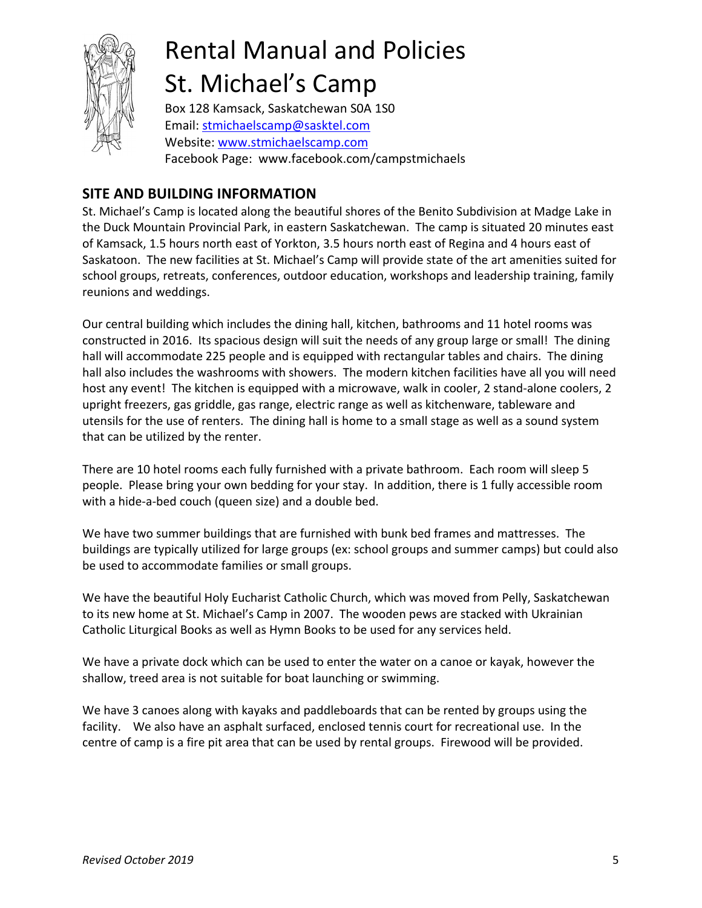

# Rental Manual and Policies St. Michael's Camp

Box 128 Kamsack, Saskatchewan S0A 1S0 Email: stmichaelscamp@sasktel.com Website: www.stmichaelscamp.com Facebook Page: www.facebook.com/campstmichaels

### **SITE AND BUILDING INFORMATION**

St. Michael's Camp is located along the beautiful shores of the Benito Subdivision at Madge Lake in the Duck Mountain Provincial Park, in eastern Saskatchewan. The camp is situated 20 minutes east of Kamsack, 1.5 hours north east of Yorkton, 3.5 hours north east of Regina and 4 hours east of Saskatoon. The new facilities at St. Michael's Camp will provide state of the art amenities suited for school groups, retreats, conferences, outdoor education, workshops and leadership training, family reunions and weddings.

Our central building which includes the dining hall, kitchen, bathrooms and 11 hotel rooms was constructed in 2016. Its spacious design will suit the needs of any group large or small! The dining hall will accommodate 225 people and is equipped with rectangular tables and chairs. The dining hall also includes the washrooms with showers. The modern kitchen facilities have all you will need host any event! The kitchen is equipped with a microwave, walk in cooler, 2 stand-alone coolers, 2 upright freezers, gas griddle, gas range, electric range as well as kitchenware, tableware and utensils for the use of renters. The dining hall is home to a small stage as well as a sound system that can be utilized by the renter.

There are 10 hotel rooms each fully furnished with a private bathroom. Each room will sleep 5 people. Please bring your own bedding for your stay. In addition, there is 1 fully accessible room with a hide-a-bed couch (queen size) and a double bed.

We have two summer buildings that are furnished with bunk bed frames and mattresses. The buildings are typically utilized for large groups (ex: school groups and summer camps) but could also be used to accommodate families or small groups.

We have the beautiful Holy Eucharist Catholic Church, which was moved from Pelly, Saskatchewan to its new home at St. Michael's Camp in 2007. The wooden pews are stacked with Ukrainian Catholic Liturgical Books as well as Hymn Books to be used for any services held.

We have a private dock which can be used to enter the water on a canoe or kayak, however the shallow, treed area is not suitable for boat launching or swimming.

We have 3 canoes along with kayaks and paddleboards that can be rented by groups using the facility. We also have an asphalt surfaced, enclosed tennis court for recreational use. In the centre of camp is a fire pit area that can be used by rental groups. Firewood will be provided.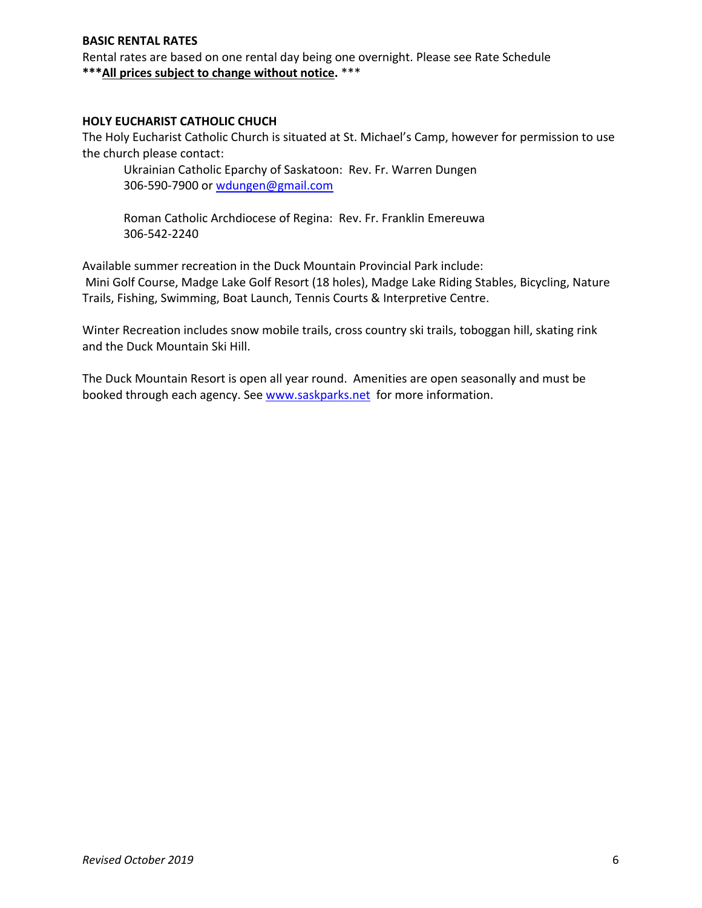#### **BASIC RENTAL RATES**

Rental rates are based on one rental day being one overnight. Please see Rate Schedule **\*\*\*All prices subject to change without notice.** \*\*\*

#### **HOLY EUCHARIST CATHOLIC CHUCH**

The Holy Eucharist Catholic Church is situated at St. Michael's Camp, however for permission to use the church please contact:

Ukrainian Catholic Eparchy of Saskatoon: Rev. Fr. Warren Dungen 306-590-7900 or wdungen@gmail.com

Roman Catholic Archdiocese of Regina: Rev. Fr. Franklin Emereuwa 306-542-2240

Available summer recreation in the Duck Mountain Provincial Park include: Mini Golf Course, Madge Lake Golf Resort (18 holes), Madge Lake Riding Stables, Bicycling, Nature Trails, Fishing, Swimming, Boat Launch, Tennis Courts & Interpretive Centre.

Winter Recreation includes snow mobile trails, cross country ski trails, toboggan hill, skating rink and the Duck Mountain Ski Hill.

The Duck Mountain Resort is open all year round. Amenities are open seasonally and must be booked through each agency. See www.saskparks.net for more information.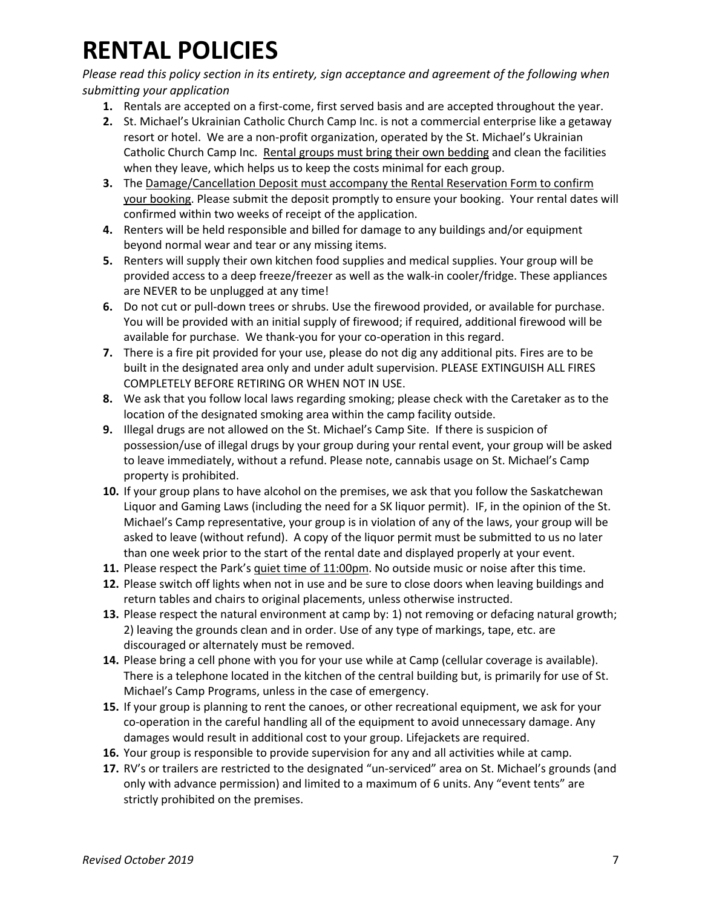## **RENTAL POLICIES**

*Please read this policy section in its entirety, sign acceptance and agreement of the following when submitting your application*

- **1.** Rentals are accepted on a first-come, first served basis and are accepted throughout the year.
- **2.** St. Michael's Ukrainian Catholic Church Camp Inc. is not a commercial enterprise like a getaway resort or hotel. We are a non-profit organization, operated by the St. Michael's Ukrainian Catholic Church Camp Inc. Rental groups must bring their own bedding and clean the facilities when they leave, which helps us to keep the costs minimal for each group.
- **3.** The Damage/Cancellation Deposit must accompany the Rental Reservation Form to confirm your booking. Please submit the deposit promptly to ensure your booking. Your rental dates will confirmed within two weeks of receipt of the application.
- **4.** Renters will be held responsible and billed for damage to any buildings and/or equipment beyond normal wear and tear or any missing items.
- **5.** Renters will supply their own kitchen food supplies and medical supplies. Your group will be provided access to a deep freeze/freezer as well as the walk-in cooler/fridge. These appliances are NEVER to be unplugged at any time!
- **6.** Do not cut or pull-down trees or shrubs. Use the firewood provided, or available for purchase. You will be provided with an initial supply of firewood; if required, additional firewood will be available for purchase. We thank-you for your co-operation in this regard.
- **7.** There is a fire pit provided for your use, please do not dig any additional pits. Fires are to be built in the designated area only and under adult supervision. PLEASE EXTINGUISH ALL FIRES COMPLETELY BEFORE RETIRING OR WHEN NOT IN USE.
- **8.** We ask that you follow local laws regarding smoking; please check with the Caretaker as to the location of the designated smoking area within the camp facility outside.
- **9.** Illegal drugs are not allowed on the St. Michael's Camp Site. If there is suspicion of possession/use of illegal drugs by your group during your rental event, your group will be asked to leave immediately, without a refund. Please note, cannabis usage on St. Michael's Camp property is prohibited.
- **10.** If your group plans to have alcohol on the premises, we ask that you follow the Saskatchewan Liquor and Gaming Laws (including the need for a SK liquor permit). IF, in the opinion of the St. Michael's Camp representative, your group is in violation of any of the laws, your group will be asked to leave (without refund). A copy of the liquor permit must be submitted to us no later than one week prior to the start of the rental date and displayed properly at your event.
- **11.** Please respect the Park's quiet time of 11:00pm. No outside music or noise after this time.
- **12.** Please switch off lights when not in use and be sure to close doors when leaving buildings and return tables and chairs to original placements, unless otherwise instructed.
- **13.** Please respect the natural environment at camp by: 1) not removing or defacing natural growth; 2) leaving the grounds clean and in order. Use of any type of markings, tape, etc. are discouraged or alternately must be removed.
- **14.** Please bring a cell phone with you for your use while at Camp (cellular coverage is available). There is a telephone located in the kitchen of the central building but, is primarily for use of St. Michael's Camp Programs, unless in the case of emergency.
- **15.** If your group is planning to rent the canoes, or other recreational equipment, we ask for your co-operation in the careful handling all of the equipment to avoid unnecessary damage. Any damages would result in additional cost to your group. Lifejackets are required.
- **16.** Your group is responsible to provide supervision for any and all activities while at camp.
- **17.** RV's or trailers are restricted to the designated "un-serviced" area on St. Michael's grounds (and only with advance permission) and limited to a maximum of 6 units. Any "event tents" are strictly prohibited on the premises.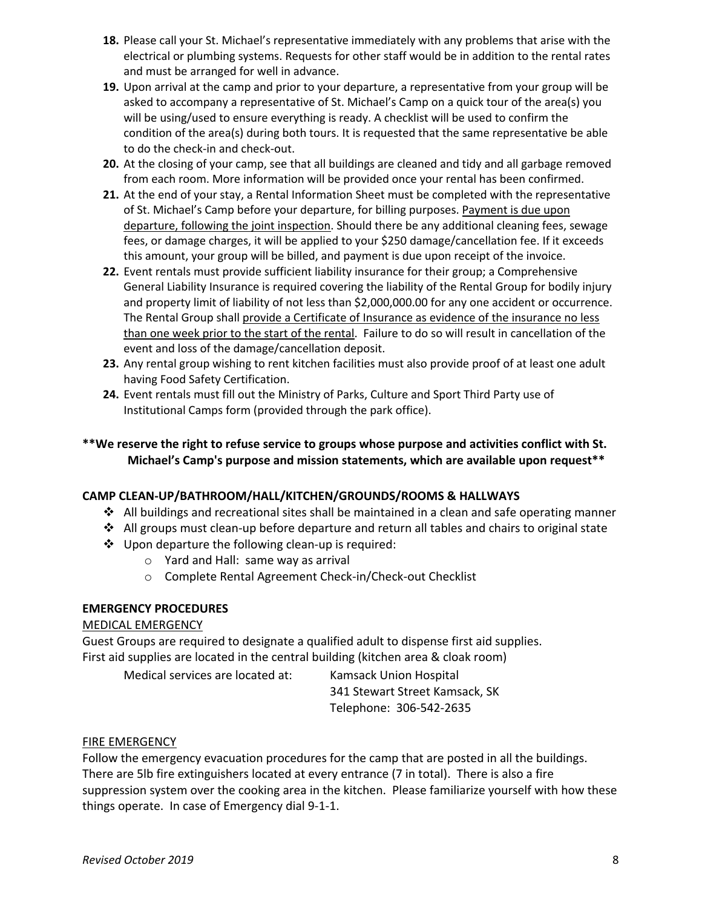- **18.** Please call your St. Michael's representative immediately with any problems that arise with the electrical or plumbing systems. Requests for other staff would be in addition to the rental rates and must be arranged for well in advance.
- **19.** Upon arrival at the camp and prior to your departure, a representative from your group will be asked to accompany a representative of St. Michael's Camp on a quick tour of the area(s) you will be using/used to ensure everything is ready. A checklist will be used to confirm the condition of the area(s) during both tours. It is requested that the same representative be able to do the check-in and check-out.
- **20.** At the closing of your camp, see that all buildings are cleaned and tidy and all garbage removed from each room. More information will be provided once your rental has been confirmed.
- **21.** At the end of your stay, a Rental Information Sheet must be completed with the representative of St. Michael's Camp before your departure, for billing purposes. Payment is due upon departure, following the joint inspection. Should there be any additional cleaning fees, sewage fees, or damage charges, it will be applied to your \$250 damage/cancellation fee. If it exceeds this amount, your group will be billed, and payment is due upon receipt of the invoice.
- **22.** Event rentals must provide sufficient liability insurance for their group; a Comprehensive General Liability Insurance is required covering the liability of the Rental Group for bodily injury and property limit of liability of not less than \$2,000,000.00 for any one accident or occurrence. The Rental Group shall provide a Certificate of Insurance as evidence of the insurance no less than one week prior to the start of the rental. Failure to do so will result in cancellation of the event and loss of the damage/cancellation deposit.
- **23.** Any rental group wishing to rent kitchen facilities must also provide proof of at least one adult having Food Safety Certification.
- **24.** Event rentals must fill out the Ministry of Parks, Culture and Sport Third Party use of Institutional Camps form (provided through the park office).

#### **\*\*We reserve the right to refuse service to groups whose purpose and activities conflict with St. Michael's Camp's purpose and mission statements, which are available upon request\*\***

#### **CAMP CLEAN-UP/BATHROOM/HALL/KITCHEN/GROUNDS/ROOMS & HALLWAYS**

- $\cdot$  All buildings and recreational sites shall be maintained in a clean and safe operating manner
- $\div$  All groups must clean-up before departure and return all tables and chairs to original state
- $\cdot$  Upon departure the following clean-up is required:
	- o Yard and Hall: same way as arrival
	- o Complete Rental Agreement Check-in/Check-out Checklist

#### **EMERGENCY PROCEDURES**

#### MEDICAL EMERGENCY

Guest Groups are required to designate a qualified adult to dispense first aid supplies. First aid supplies are located in the central building (kitchen area & cloak room)

Medical services are located at: Kamsack Union Hospital

341 Stewart Street Kamsack, SK Telephone: 306-542-2635

#### FIRE EMERGENCY

Follow the emergency evacuation procedures for the camp that are posted in all the buildings. There are 5lb fire extinguishers located at every entrance (7 in total). There is also a fire suppression system over the cooking area in the kitchen. Please familiarize yourself with how these things operate. In case of Emergency dial 9-1-1.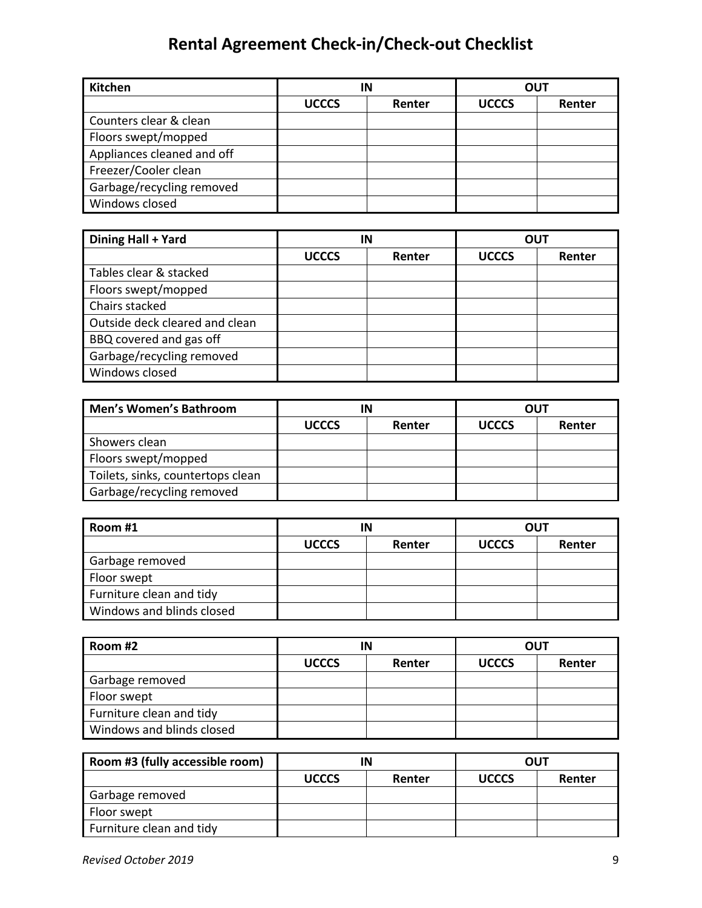## **Rental Agreement Check-in/Check-out Checklist**

| <b>Kitchen</b>             | IN           |        | <b>OUT</b>   |        |
|----------------------------|--------------|--------|--------------|--------|
|                            | <b>UCCCS</b> | Renter | <b>UCCCS</b> | Renter |
| Counters clear & clean     |              |        |              |        |
| Floors swept/mopped        |              |        |              |        |
| Appliances cleaned and off |              |        |              |        |
| Freezer/Cooler clean       |              |        |              |        |
| Garbage/recycling removed  |              |        |              |        |
| Windows closed             |              |        |              |        |

| Dining Hall + Yard             | IN           |        | <b>OUT</b>   |        |
|--------------------------------|--------------|--------|--------------|--------|
|                                | <b>UCCCS</b> | Renter | <b>UCCCS</b> | Renter |
| Tables clear & stacked         |              |        |              |        |
| Floors swept/mopped            |              |        |              |        |
| Chairs stacked                 |              |        |              |        |
| Outside deck cleared and clean |              |        |              |        |
| BBQ covered and gas off        |              |        |              |        |
| Garbage/recycling removed      |              |        |              |        |
| Windows closed                 |              |        |              |        |

| <b>Men's Women's Bathroom</b>     | ΙN           |        | OUT          |        |
|-----------------------------------|--------------|--------|--------------|--------|
|                                   | <b>UCCCS</b> | Renter | <b>UCCCS</b> | Renter |
| Showers clean                     |              |        |              |        |
| Floors swept/mopped               |              |        |              |        |
| Toilets, sinks, countertops clean |              |        |              |        |
| Garbage/recycling removed         |              |        |              |        |

| Room #1                   | IN           |        | <b>OUT</b>   |        |
|---------------------------|--------------|--------|--------------|--------|
|                           | <b>UCCCS</b> | Renter | <b>UCCCS</b> | Renter |
| Garbage removed           |              |        |              |        |
| Floor swept               |              |        |              |        |
| Furniture clean and tidy  |              |        |              |        |
| Windows and blinds closed |              |        |              |        |

| Room #2                   | IN           |        |              | <b>OUT</b> |
|---------------------------|--------------|--------|--------------|------------|
|                           | <b>UCCCS</b> | Renter | <b>UCCCS</b> | Renter     |
| Garbage removed           |              |        |              |            |
| Floor swept               |              |        |              |            |
| Furniture clean and tidy  |              |        |              |            |
| Windows and blinds closed |              |        |              |            |

| Room #3 (fully accessible room) |              |        | <b>OUT</b>   |        |
|---------------------------------|--------------|--------|--------------|--------|
|                                 | <b>UCCCS</b> | Renter | <b>UCCCS</b> | Renter |
| Garbage removed                 |              |        |              |        |
| Floor swept                     |              |        |              |        |
| Furniture clean and tidy        |              |        |              |        |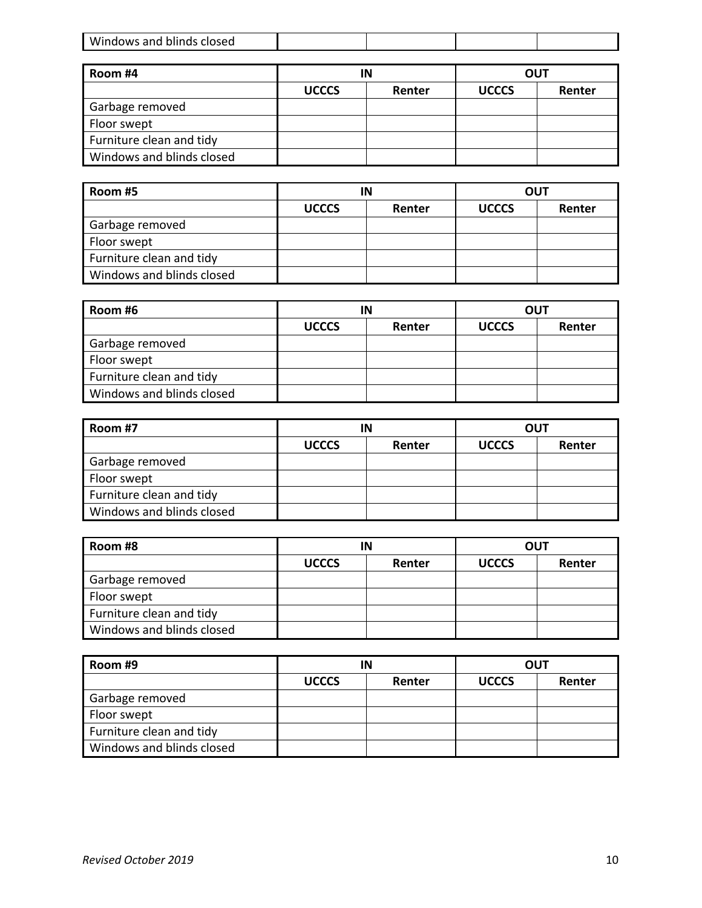|  | $\cdots$<br>W<br><b>ncnd</b><br>ملمصاما<br>.<br><b>IQUMc</b><br>ciosed<br>ann<br>-olings- |  |  |  |  |
|--|-------------------------------------------------------------------------------------------|--|--|--|--|
|--|-------------------------------------------------------------------------------------------|--|--|--|--|

| Room #4                   | ΙN           |        | <b>OUT</b>   |        |
|---------------------------|--------------|--------|--------------|--------|
|                           | <b>UCCCS</b> | Renter | <b>UCCCS</b> | Renter |
| Garbage removed           |              |        |              |        |
| Floor swept               |              |        |              |        |
| Furniture clean and tidy  |              |        |              |        |
| Windows and blinds closed |              |        |              |        |

| Room #5                   | ΙN           |        |              | <b>OUT</b> |
|---------------------------|--------------|--------|--------------|------------|
|                           | <b>UCCCS</b> | Renter | <b>UCCCS</b> | Renter     |
| Garbage removed           |              |        |              |            |
| Floor swept               |              |        |              |            |
| Furniture clean and tidy  |              |        |              |            |
| Windows and blinds closed |              |        |              |            |

| Room #6                   | ΙN           |        |              | <b>OUT</b> |
|---------------------------|--------------|--------|--------------|------------|
|                           | <b>UCCCS</b> | Renter | <b>UCCCS</b> | Renter     |
| Garbage removed           |              |        |              |            |
| Floor swept               |              |        |              |            |
| Furniture clean and tidy  |              |        |              |            |
| Windows and blinds closed |              |        |              |            |

| Room #7                   | ΙN           |        | <b>OUT</b>   |        |
|---------------------------|--------------|--------|--------------|--------|
|                           | <b>UCCCS</b> | Renter | <b>UCCCS</b> | Renter |
| Garbage removed           |              |        |              |        |
| Floor swept               |              |        |              |        |
| Furniture clean and tidy  |              |        |              |        |
| Windows and blinds closed |              |        |              |        |

| Room #8                   | ΙN           |        | <b>OUT</b>   |        |
|---------------------------|--------------|--------|--------------|--------|
|                           | <b>UCCCS</b> | Renter | <b>UCCCS</b> | Renter |
| Garbage removed           |              |        |              |        |
| Floor swept               |              |        |              |        |
| Furniture clean and tidy  |              |        |              |        |
| Windows and blinds closed |              |        |              |        |

| Room #9                   | ΙN           |        | <b>OUT</b>   |        |
|---------------------------|--------------|--------|--------------|--------|
|                           | <b>UCCCS</b> | Renter | <b>UCCCS</b> | Renter |
| Garbage removed           |              |        |              |        |
| Floor swept               |              |        |              |        |
| Furniture clean and tidy  |              |        |              |        |
| Windows and blinds closed |              |        |              |        |